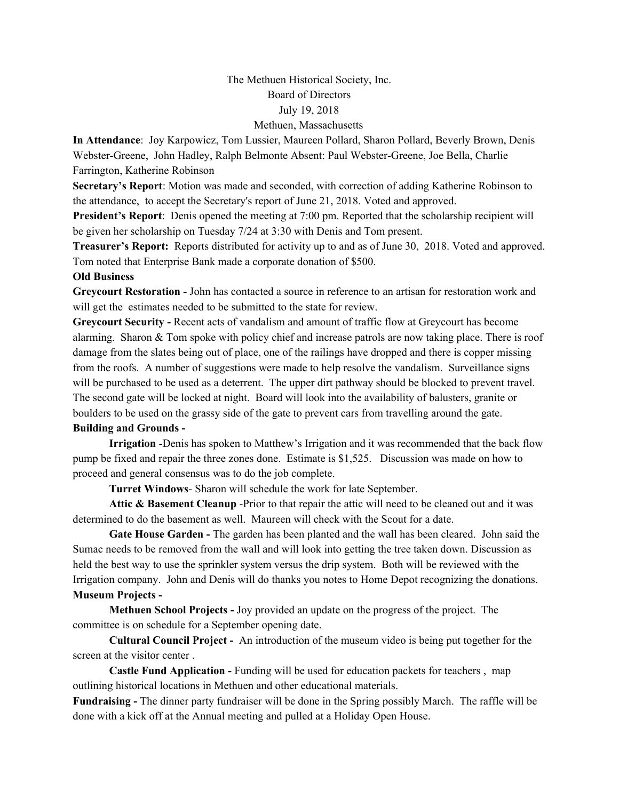## The Methuen Historical Society, Inc. Board of Directors July 19, 2018 Methuen, Massachusetts

**In Attendance**: Joy Karpowicz, Tom Lussier, Maureen Pollard, Sharon Pollard, Beverly Brown, Denis Webster-Greene, John Hadley, Ralph Belmonte Absent: Paul Webster-Greene, Joe Bella, Charlie Farrington, Katherine Robinson

**Secretary's Report**: Motion was made and seconded, with correction of adding Katherine Robinson to the attendance, to accept the Secretary's report of June 21, 2018. Voted and approved.

**President's Report**: Denis opened the meeting at 7:00 pm. Reported that the scholarship recipient will be given her scholarship on Tuesday 7/24 at 3:30 with Denis and Tom present.

**Treasurer's Report:** Reports distributed for activity up to and as of June 30, 2018. Voted and approved. Tom noted that Enterprise Bank made a corporate donation of \$500.

## **Old Business**

**Greycourt Restoration -** John has contacted a source in reference to an artisan for restoration work and will get the estimates needed to be submitted to the state for review.

**Greycourt Security -** Recent acts of vandalism and amount of traffic flow at Greycourt has become alarming. Sharon & Tom spoke with policy chief and increase patrols are now taking place. There is roof damage from the slates being out of place, one of the railings have dropped and there is copper missing from the roofs. A number of suggestions were made to help resolve the vandalism. Surveillance signs will be purchased to be used as a deterrent. The upper dirt pathway should be blocked to prevent travel. The second gate will be locked at night. Board will look into the availability of balusters, granite or boulders to be used on the grassy side of the gate to prevent cars from travelling around the gate.

## **Building and Grounds -**

**Irrigation** -Denis has spoken to Matthew's Irrigation and it was recommended that the back flow pump be fixed and repair the three zones done. Estimate is \$1,525. Discussion was made on how to proceed and general consensus was to do the job complete.

**Turret Windows**- Sharon will schedule the work for late September.

**Attic & Basement Cleanup** -Prior to that repair the attic will need to be cleaned out and it was determined to do the basement as well. Maureen will check with the Scout for a date.

**Gate House Garden -** The garden has been planted and the wall has been cleared. John said the Sumac needs to be removed from the wall and will look into getting the tree taken down. Discussion as held the best way to use the sprinkler system versus the drip system. Both will be reviewed with the Irrigation company. John and Denis will do thanks you notes to Home Depot recognizing the donations. **Museum Projects -**

**Methuen School Projects -** Joy provided an update on the progress of the project. The committee is on schedule for a September opening date.

**Cultural Council Project -** An introduction of the museum video is being put together for the screen at the visitor center .

**Castle Fund Application -** Funding will be used for education packets for teachers , map outlining historical locations in Methuen and other educational materials.

**Fundraising -** The dinner party fundraiser will be done in the Spring possibly March. The raffle will be done with a kick off at the Annual meeting and pulled at a Holiday Open House.